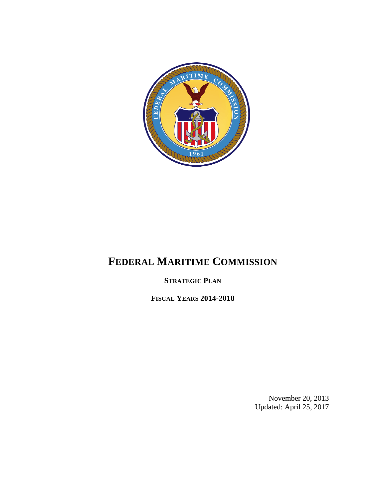

# **FEDERAL MARITIME COMMISSION**

**STRATEGIC PLAN**

**FISCAL YEARS 2014-2018**

November 20, 2013 Updated: April 25, 2017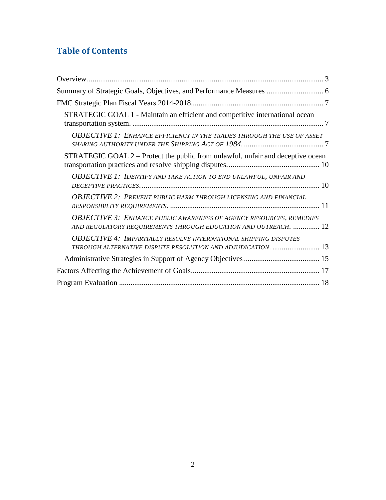# **Table of Contents**

| Summary of Strategic Goals, Objectives, and Performance Measures  6                                                                           |
|-----------------------------------------------------------------------------------------------------------------------------------------------|
|                                                                                                                                               |
| STRATEGIC GOAL 1 - Maintain an efficient and competitive international ocean                                                                  |
| <b>OBJECTIVE 1: ENHANCE EFFICIENCY IN THE TRADES THROUGH THE USE OF ASSET</b>                                                                 |
| STRATEGIC GOAL 2 – Protect the public from unlawful, unfair and deceptive ocean                                                               |
| OBJECTIVE 1: IDENTIFY AND TAKE ACTION TO END UNLAWFUL, UNFAIR AND                                                                             |
| <b>OBJECTIVE 2: PREVENT PUBLIC HARM THROUGH LICENSING AND FINANCIAL</b>                                                                       |
| <b>OBJECTIVE 3: ENHANCE PUBLIC AWARENESS OF AGENCY RESOURCES, REMEDIES</b><br>AND REGULATORY REQUIREMENTS THROUGH EDUCATION AND OUTREACH.  12 |
| <b>OBJECTIVE 4: IMPARTIALLY RESOLVE INTERNATIONAL SHIPPING DISPUTES</b><br>THROUGH ALTERNATIVE DISPUTE RESOLUTION AND ADJUDICATION.  13       |
|                                                                                                                                               |
|                                                                                                                                               |
|                                                                                                                                               |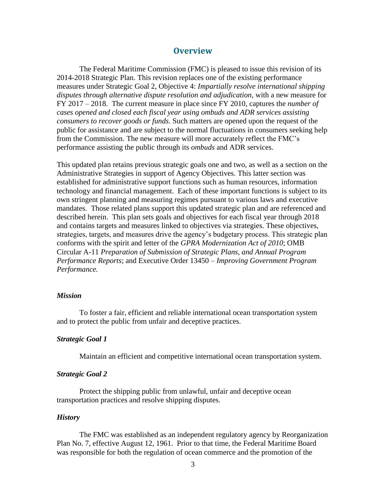## **Overview**

<span id="page-2-0"></span>The Federal Maritime Commission (FMC) is pleased to issue this revision of its 2014-2018 Strategic Plan. This revision replaces one of the existing performance measures under Strategic Goal 2, Objective 4: *Impartially resolve international shipping disputes through alternative dispute resolution and adjudication,* with a new measure for FY 2017 – 2018. The current measure in place since FY 2010, captures the *number of cases opened and closed each fiscal year using ombuds and ADR services assisting consumers to recover goods or funds*. Such matters are opened upon the request of the public for assistance and are subject to the normal fluctuations in consumers seeking help from the Commission. The new measure will more accurately reflect the FMC's performance assisting the public through its *ombuds* and ADR services.

This updated plan retains previous strategic goals one and two, as well as a section on the Administrative Strategies in support of Agency Objectives. This latter section was established for administrative support functions such as human resources, information technology and financial management. Each of these important functions is subject to its own stringent planning and measuring regimes pursuant to various laws and executive mandates. Those related plans support this updated strategic plan and are referenced and described herein. This plan sets goals and objectives for each fiscal year through 2018 and contains targets and measures linked to objectives via strategies. These objectives, strategies, targets, and measures drive the agency's budgetary process. This strategic plan conforms with the spirit and letter of the *GPRA Modernization Act of 2010*; OMB Circular A-11 *Preparation of Submission of Strategic Plans, and Annual Program Performance Reports*; and Executive Order 13450 – *Improving Government Program Performance.*

#### *Mission*

To foster a fair, efficient and reliable international ocean transportation system and to protect the public from unfair and deceptive practices.

#### *Strategic Goal 1*

Maintain an efficient and competitive international ocean transportation system.

#### *Strategic Goal 2*

Protect the shipping public from unlawful, unfair and deceptive ocean transportation practices and resolve shipping disputes.

#### *History*

The FMC was established as an independent regulatory agency by Reorganization Plan No. 7, effective August 12, 1961. Prior to that time, the Federal Maritime Board was responsible for both the regulation of ocean commerce and the promotion of the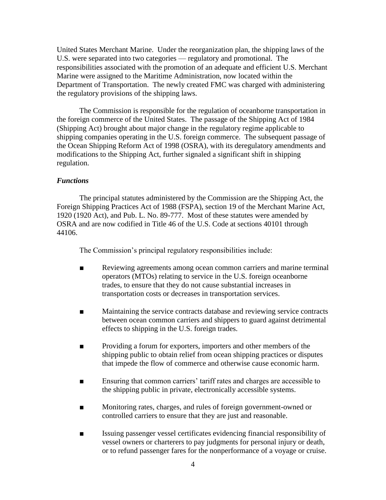United States Merchant Marine. Under the reorganization plan, the shipping laws of the U.S. were separated into two categories — regulatory and promotional. The responsibilities associated with the promotion of an adequate and efficient U.S. Merchant Marine were assigned to the Maritime Administration, now located within the Department of Transportation. The newly created FMC was charged with administering the regulatory provisions of the shipping laws.

The Commission is responsible for the regulation of oceanborne transportation in the foreign commerce of the United States. The passage of the Shipping Act of 1984 (Shipping Act) brought about major change in the regulatory regime applicable to shipping companies operating in the U.S. foreign commerce. The subsequent passage of the Ocean Shipping Reform Act of 1998 (OSRA), with its deregulatory amendments and modifications to the Shipping Act, further signaled a significant shift in shipping regulation.

#### *Functions*

The principal statutes administered by the Commission are the Shipping Act, the Foreign Shipping Practices Act of 1988 (FSPA), section 19 of the Merchant Marine Act, 1920 (1920 Act), and Pub. L. No. 89-777. Most of these statutes were amended by OSRA and are now codified in Title 46 of the U.S. Code at sections 40101 through 44106.

The Commission's principal regulatory responsibilities include:

- Reviewing agreements among ocean common carriers and marine terminal operators (MTOs) relating to service in the U.S. foreign oceanborne trades, to ensure that they do not cause substantial increases in transportation costs or decreases in transportation services.
- Maintaining the service contracts database and reviewing service contracts between ocean common carriers and shippers to guard against detrimental effects to shipping in the U.S. foreign trades.
- Providing a forum for exporters, importers and other members of the shipping public to obtain relief from ocean shipping practices or disputes that impede the flow of commerce and otherwise cause economic harm.
- Ensuring that common carriers' tariff rates and charges are accessible to the shipping public in private, electronically accessible systems.
- Monitoring rates, charges, and rules of foreign government-owned or controlled carriers to ensure that they are just and reasonable.
- Issuing passenger vessel certificates evidencing financial responsibility of vessel owners or charterers to pay judgments for personal injury or death, or to refund passenger fares for the nonperformance of a voyage or cruise.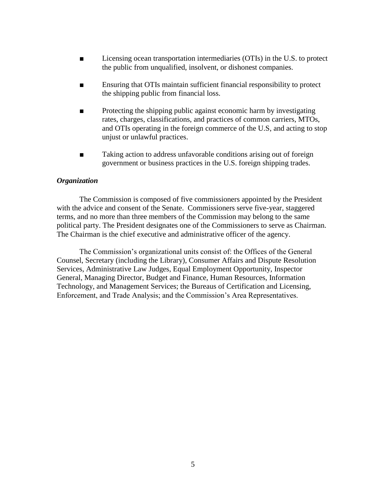- Licensing ocean transportation intermediaries (OTIs) in the U.S. to protect the public from unqualified, insolvent, or dishonest companies.
- Ensuring that OTIs maintain sufficient financial responsibility to protect the shipping public from financial loss.
- Protecting the shipping public against economic harm by investigating rates, charges, classifications, and practices of common carriers, MTOs, and OTIs operating in the foreign commerce of the U.S, and acting to stop unjust or unlawful practices.
- Taking action to address unfavorable conditions arising out of foreign government or business practices in the U.S. foreign shipping trades.

#### *Organization*

The Commission is composed of five commissioners appointed by the President with the advice and consent of the Senate. Commissioners serve five-year, staggered terms, and no more than three members of the Commission may belong to the same political party. The President designates one of the Commissioners to serve as Chairman. The Chairman is the chief executive and administrative officer of the agency.

The Commission's organizational units consist of: the Offices of the General Counsel, Secretary (including the Library), Consumer Affairs and Dispute Resolution Services, Administrative Law Judges, Equal Employment Opportunity, Inspector General, Managing Director, Budget and Finance, Human Resources, Information Technology, and Management Services; the Bureaus of Certification and Licensing, Enforcement, and Trade Analysis; and the Commission's Area Representatives.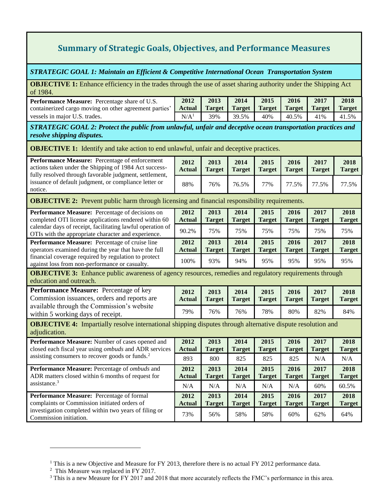# **Summary of Strategic Goals, Objectives, and Performance Measures**

<span id="page-5-0"></span>*STRATEGIC GOAL 1: Maintain an Efficient & Competitive International Ocean Transportation System*

**OBJECTIVE 1:** Enhance efficiency in the trades through the use of asset sharing authority under the Shipping Act of 1984.

| <b>Performance Measure:</b> Percentage share of U.S.   | 2012        | 2013            | 2014  | 2015                 | 2016  | 2017 | 2018          |
|--------------------------------------------------------|-------------|-----------------|-------|----------------------|-------|------|---------------|
| containerized cargo moving on other agreement parties' | Actual      | Target   Target |       | Target Target Target |       |      | <b>Target</b> |
| vessels in major U.S. trades.                          | $\rm N/A^1$ | 39%             | 39.5% | 40%                  | 40.5% | 41%  | 41.5%         |

*STRATEGIC GOAL 2: Protect the public from unlawful, unfair and deceptive ocean transportation practices and resolve shipping disputes.*

**OBJECTIVE 1:** Identify and take action to end unlawful, unfair and deceptive practices.

| Performance Measure: Percentage of enforcement<br>actions taken under the Shipping of 1984 Act success-<br>fully resolved through favorable judgment, settlement,<br>issuance of default judgment, or compliance letter or<br>notice. | 2012<br><b>Actual</b> | 2013<br><b>Target</b> | 2014<br><b>Target</b> | 2015<br><b>Target</b> | 2016<br><b>Target</b> | 2017<br><b>Target</b> | 2018<br><b>Target</b> |
|---------------------------------------------------------------------------------------------------------------------------------------------------------------------------------------------------------------------------------------|-----------------------|-----------------------|-----------------------|-----------------------|-----------------------|-----------------------|-----------------------|
|                                                                                                                                                                                                                                       | 88%                   | 76%                   | 76.5%                 | 77%                   | 77.5%                 | 77.5%                 | 77.5%                 |

**OBJECTIVE 2:** Prevent public harm through licensing and financial responsibility requirements.

| Performance Measure: Percentage of decisions on<br>completed OTI license applications rendered within 60                                                            | 2012<br><b>Actual</b> | 2013<br><b>Target</b> | 2014<br><b>Target</b> | 2015<br><b>Target</b> | 2016<br><b>Target</b> | 2017<br><b>Target</b> | 2018<br><b>Target</b> |  |
|---------------------------------------------------------------------------------------------------------------------------------------------------------------------|-----------------------|-----------------------|-----------------------|-----------------------|-----------------------|-----------------------|-----------------------|--|
| calendar days of receipt, facilitating lawful operation of<br>OTIs with the appropriate character and experience.                                                   | 90.2%                 | 75%                   | 75%                   | 75%                   | 75%                   | 75%                   | 75%                   |  |
| Performance Measure: Percentage of cruise line<br>operators examined during the year that have the full                                                             | 2012<br><b>Actual</b> | 2013<br><b>Target</b> | 2014<br><b>Target</b> | 2015<br><b>Target</b> | 2016<br><b>Target</b> | 2017<br><b>Target</b> | 2018<br><b>Target</b> |  |
| financial coverage required by regulation to protect<br>against loss from non-performance or casualty.                                                              | 100%                  | 93%                   | 94%                   | 95%                   | 95%                   | 95%                   | 95%                   |  |
| $\overline{\text{ODINOMININA}}$ $\overline{\text{P}}$ 1 1 1 $\overline{\text{C}}$ $\overline{\text{C}}$ 1 1 1 $\overline{\text{C}}$ 1 1 1 $\overline{\text{C}}$ 1 1 |                       |                       |                       |                       |                       |                       |                       |  |

**OBJECTIVE 3:** Enhance public awareness of agency resources, remedies and regulatory requirements through education and outreach.

| <b>Performance Measure:</b> Percentage of key                                   | 2012   | 2013          | 2014          | 2015   | 2016          | 2017   | 2018          |
|---------------------------------------------------------------------------------|--------|---------------|---------------|--------|---------------|--------|---------------|
| Commission issuances, orders and reports are                                    | Actual | <b>Target</b> | <b>Target</b> | Target | <b>Target</b> | Target | <b>Target</b> |
| available through the Commission's website<br>within 5 working days of receipt. | 79%    | 76%           | 76%           | 78%    | 80%           | 82%    | 84%           |

**OBJECTIVE 4:** Impartially resolve international shipping disputes through alternative dispute resolution and adjudication.

| Performance Measure: Number of cases opened and<br>closed each fiscal year using <i>ombuds</i> and ADR services<br>assisting consumers to recover goods or funds. <sup>2</sup> | 2012<br><b>Actual</b> | 2013<br><b>Target</b> | 2014<br><b>Target</b> | 2015<br><b>Target</b> | 2016<br><b>Target</b> | 2017<br><b>Target</b> | 2018<br><b>Target</b> |
|--------------------------------------------------------------------------------------------------------------------------------------------------------------------------------|-----------------------|-----------------------|-----------------------|-----------------------|-----------------------|-----------------------|-----------------------|
|                                                                                                                                                                                | 893                   | 800                   | 825                   | 825                   | 825                   | N/A                   | N/A                   |
| <b>Performance Measure:</b> Percentage of <i>ombuds</i> and<br>ADR matters closed within 6 months of request for<br>assistance. $3$                                            | 2012<br><b>Actual</b> | 2013<br><b>Target</b> | 2014<br>Target        | 2015<br><b>Target</b> | 2016<br><b>Target</b> | 2017<br><b>Target</b> | 2018<br><b>Target</b> |
|                                                                                                                                                                                | N/A                   | N/A                   | N/A                   | N/A                   | N/A                   | 60%                   | 60.5%                 |
| Performance Measure: Percentage of formal<br>complaints or Commission initiated orders of<br>investigation completed within two years of filing or<br>Commission initiation.   | 2012<br><b>Actual</b> | 2013<br><b>Target</b> | 2014<br><b>Target</b> | 2015<br><b>Target</b> | 2016<br><b>Target</b> | 2017<br><b>Target</b> | 2018<br><b>Target</b> |
|                                                                                                                                                                                | 73%                   | 56%                   | 58%                   | 58%                   | 60%                   | 62%                   | 64%                   |

<span id="page-5-1"></span> $\overline{a}$ 

<sup>&</sup>lt;sup>1</sup> This is a new Objective and Measure for FY 2013, therefore there is no actual FY 2012 performance data.

<sup>&</sup>lt;sup>2</sup> This Measure was replaced in FY 2017.

<sup>&</sup>lt;sup>3</sup> This is a new Measure for FY 2017 and 2018 that more accurately reflects the FMC's performance in this area.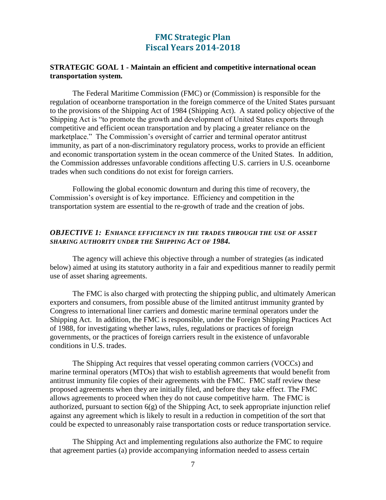## **FMC Strategic Plan Fiscal Years 2014-2018**

#### <span id="page-6-0"></span>**STRATEGIC GOAL 1 - Maintain an efficient and competitive international ocean transportation system.**

The Federal Maritime Commission (FMC) or (Commission) is responsible for the regulation of oceanborne transportation in the foreign commerce of the United States pursuant to the provisions of the Shipping Act of 1984 (Shipping Act). A stated policy objective of the Shipping Act is "to promote the growth and development of United States exports through competitive and efficient ocean transportation and by placing a greater reliance on the marketplace." The Commission's oversight of carrier and terminal operator antitrust immunity, as part of a non-discriminatory regulatory process, works to provide an efficient and economic transportation system in the ocean commerce of the United States. In addition, the Commission addresses unfavorable conditions affecting U.S. carriers in U.S. oceanborne trades when such conditions do not exist for foreign carriers.

Following the global economic downturn and during this time of recovery, the Commission's oversight is of key importance. Efficiency and competition in the transportation system are essential to the re-growth of trade and the creation of jobs.

## <span id="page-6-1"></span>*OBJECTIVE 1: ENHANCE EFFICIENCY IN THE TRADES THROUGH THE USE OF ASSET SHARING AUTHORITY UNDER THE SHIPPING ACT OF 1984.*

The agency will achieve this objective through a number of strategies (as indicated below) aimed at using its statutory authority in a fair and expeditious manner to readily permit use of asset sharing agreements.

The FMC is also charged with protecting the shipping public, and ultimately American exporters and consumers, from possible abuse of the limited antitrust immunity granted by Congress to international liner carriers and domestic marine terminal operators under the Shipping Act. In addition, the FMC is responsible, under the Foreign Shipping Practices Act of 1988, for investigating whether laws, rules, regulations or practices of foreign governments, or the practices of foreign carriers result in the existence of unfavorable conditions in U.S. trades.

The Shipping Act requires that vessel operating common carriers (VOCCs) and marine terminal operators (MTOs) that wish to establish agreements that would benefit from antitrust immunity file copies of their agreements with the FMC. FMC staff review these proposed agreements when they are initially filed, and before they take effect. The FMC allows agreements to proceed when they do not cause competitive harm. The FMC is authorized, pursuant to section  $6(g)$  of the Shipping Act, to seek appropriate injunction relief against any agreement which is likely to result in a reduction in competition of the sort that could be expected to unreasonably raise transportation costs or reduce transportation service.

The Shipping Act and implementing regulations also authorize the FMC to require that agreement parties (a) provide accompanying information needed to assess certain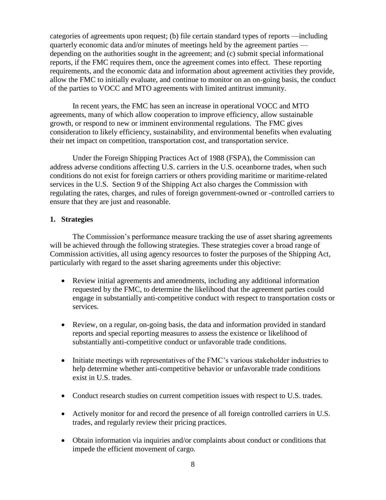categories of agreements upon request; (b) file certain standard types of reports —including quarterly economic data and/or minutes of meetings held by the agreement parties depending on the authorities sought in the agreement; and (c) submit special informational reports, if the FMC requires them, once the agreement comes into effect. These reporting requirements, and the economic data and information about agreement activities they provide, allow the FMC to initially evaluate, and continue to monitor on an on-going basis, the conduct of the parties to VOCC and MTO agreements with limited antitrust immunity.

In recent years, the FMC has seen an increase in operational VOCC and MTO agreements, many of which allow cooperation to improve efficiency, allow sustainable growth, or respond to new or imminent environmental regulations. The FMC gives consideration to likely efficiency, sustainability, and environmental benefits when evaluating their net impact on competition, transportation cost, and transportation service.

Under the Foreign Shipping Practices Act of 1988 (FSPA), the Commission can address adverse conditions affecting U.S. carriers in the U.S. oceanborne trades, when such conditions do not exist for foreign carriers or others providing maritime or maritime-related services in the U.S. Section 9 of the Shipping Act also charges the Commission with regulating the rates, charges, and rules of foreign government-owned or -controlled carriers to ensure that they are just and reasonable.

## **1. Strategies**

The Commission's performance measure tracking the use of asset sharing agreements will be achieved through the following strategies. These strategies cover a broad range of Commission activities, all using agency resources to foster the purposes of the Shipping Act, particularly with regard to the asset sharing agreements under this objective:

- Review initial agreements and amendments, including any additional information requested by the FMC, to determine the likelihood that the agreement parties could engage in substantially anti-competitive conduct with respect to transportation costs or services.
- Review, on a regular, on-going basis, the data and information provided in standard reports and special reporting measures to assess the existence or likelihood of substantially anti-competitive conduct or unfavorable trade conditions.
- Initiate meetings with representatives of the FMC's various stakeholder industries to help determine whether anti-competitive behavior or unfavorable trade conditions exist in U.S. trades.
- Conduct research studies on current competition issues with respect to U.S. trades.
- Actively monitor for and record the presence of all foreign controlled carriers in U.S. trades, and regularly review their pricing practices.
- Obtain information via inquiries and/or complaints about conduct or conditions that impede the efficient movement of cargo.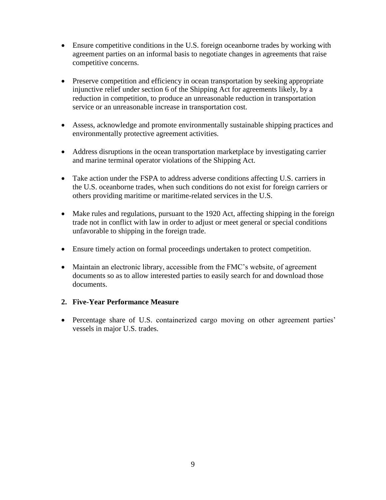- Ensure competitive conditions in the U.S. foreign oceanborne trades by working with agreement parties on an informal basis to negotiate changes in agreements that raise competitive concerns.
- Preserve competition and efficiency in ocean transportation by seeking appropriate injunctive relief under section 6 of the Shipping Act for agreements likely, by a reduction in competition, to produce an unreasonable reduction in transportation service or an unreasonable increase in transportation cost.
- Assess, acknowledge and promote environmentally sustainable shipping practices and environmentally protective agreement activities.
- Address disruptions in the ocean transportation marketplace by investigating carrier and marine terminal operator violations of the Shipping Act.
- Take action under the FSPA to address adverse conditions affecting U.S. carriers in the U.S. oceanborne trades, when such conditions do not exist for foreign carriers or others providing maritime or maritime-related services in the U.S.
- Make rules and regulations, pursuant to the 1920 Act, affecting shipping in the foreign trade not in conflict with law in order to adjust or meet general or special conditions unfavorable to shipping in the foreign trade.
- Ensure timely action on formal proceedings undertaken to protect competition.
- Maintain an electronic library, accessible from the FMC's website, of agreement documents so as to allow interested parties to easily search for and download those documents.

## **2. Five-Year Performance Measure**

• Percentage share of U.S. containerized cargo moving on other agreement parties' vessels in major U.S. trades.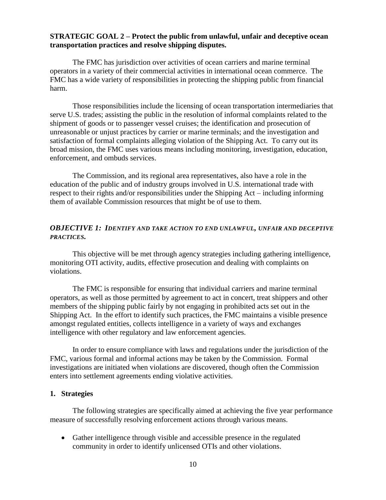#### <span id="page-9-0"></span>**STRATEGIC GOAL 2 – Protect the public from unlawful, unfair and deceptive ocean transportation practices and resolve shipping disputes.**

The FMC has jurisdiction over activities of ocean carriers and marine terminal operators in a variety of their commercial activities in international ocean commerce. The FMC has a wide variety of responsibilities in protecting the shipping public from financial harm.

Those responsibilities include the licensing of ocean transportation intermediaries that serve U.S. trades; assisting the public in the resolution of informal complaints related to the shipment of goods or to passenger vessel cruises; the identification and prosecution of unreasonable or unjust practices by carrier or marine terminals; and the investigation and satisfaction of formal complaints alleging violation of the Shipping Act. To carry out its broad mission, the FMC uses various means including monitoring, investigation, education, enforcement, and ombuds services.

The Commission, and its regional area representatives, also have a role in the education of the public and of industry groups involved in U.S. international trade with respect to their rights and/or responsibilities under the Shipping Act – including informing them of available Commission resources that might be of use to them.

#### <span id="page-9-1"></span>*OBJECTIVE 1: IDENTIFY AND TAKE ACTION TO END UNLAWFUL, UNFAIR AND DECEPTIVE PRACTICES.*

This objective will be met through agency strategies including gathering intelligence, monitoring OTI activity, audits, effective prosecution and dealing with complaints on violations.

The FMC is responsible for ensuring that individual carriers and marine terminal operators, as well as those permitted by agreement to act in concert, treat shippers and other members of the shipping public fairly by not engaging in prohibited acts set out in the Shipping Act. In the effort to identify such practices, the FMC maintains a visible presence amongst regulated entities, collects intelligence in a variety of ways and exchanges intelligence with other regulatory and law enforcement agencies.

In order to ensure compliance with laws and regulations under the jurisdiction of the FMC, various formal and informal actions may be taken by the Commission. Formal investigations are initiated when violations are discovered, though often the Commission enters into settlement agreements ending violative activities.

#### **1. Strategies**

The following strategies are specifically aimed at achieving the five year performance measure of successfully resolving enforcement actions through various means.

 Gather intelligence through visible and accessible presence in the regulated community in order to identify unlicensed OTIs and other violations.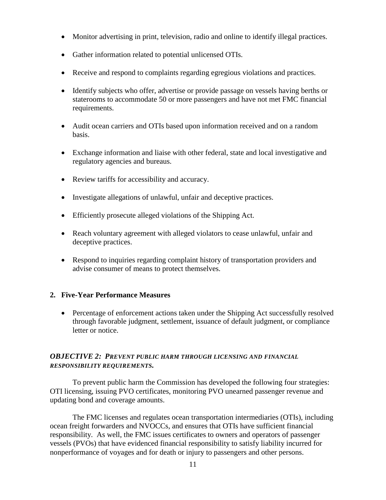- Monitor advertising in print, television, radio and online to identify illegal practices.
- Gather information related to potential unlicensed OTIs.
- Receive and respond to complaints regarding egregious violations and practices.
- Identify subjects who offer, advertise or provide passage on vessels having berths or staterooms to accommodate 50 or more passengers and have not met FMC financial requirements.
- Audit ocean carriers and OTIs based upon information received and on a random basis.
- Exchange information and liaise with other federal, state and local investigative and regulatory agencies and bureaus.
- Review tariffs for accessibility and accuracy.
- Investigate allegations of unlawful, unfair and deceptive practices.
- Efficiently prosecute alleged violations of the Shipping Act.
- Reach voluntary agreement with alleged violators to cease unlawful, unfair and deceptive practices.
- Respond to inquiries regarding complaint history of transportation providers and advise consumer of means to protect themselves.

## **2. Five-Year Performance Measures**

 Percentage of enforcement actions taken under the Shipping Act successfully resolved through favorable judgment, settlement, issuance of default judgment, or compliance letter or notice.

## <span id="page-10-0"></span>*OBJECTIVE 2: PREVENT PUBLIC HARM THROUGH LICENSING AND FINANCIAL RESPONSIBILITY REQUIREMENTS.*

To prevent public harm the Commission has developed the following four strategies: OTI licensing, issuing PVO certificates, monitoring PVO unearned passenger revenue and updating bond and coverage amounts.

The FMC licenses and regulates ocean transportation intermediaries (OTIs), including ocean freight forwarders and NVOCCs, and ensures that OTIs have sufficient financial responsibility. As well, the FMC issues certificates to owners and operators of passenger vessels (PVOs) that have evidenced financial responsibility to satisfy liability incurred for nonperformance of voyages and for death or injury to passengers and other persons.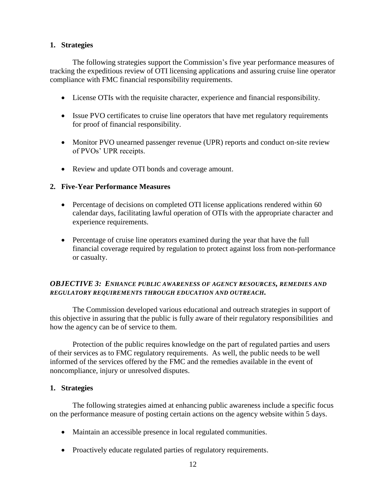## **1. Strategies**

The following strategies support the Commission's five year performance measures of tracking the expeditious review of OTI licensing applications and assuring cruise line operator compliance with FMC financial responsibility requirements.

- License OTIs with the requisite character, experience and financial responsibility.
- Issue PVO certificates to cruise line operators that have met regulatory requirements for proof of financial responsibility.
- Monitor PVO unearned passenger revenue (UPR) reports and conduct on-site review of PVOs' UPR receipts.
- Review and update OTI bonds and coverage amount.

## **2. Five-Year Performance Measures**

- Percentage of decisions on completed OTI license applications rendered within 60 calendar days, facilitating lawful operation of OTIs with the appropriate character and experience requirements.
- Percentage of cruise line operators examined during the year that have the full financial coverage required by regulation to protect against loss from non-performance or casualty.

## <span id="page-11-0"></span>*OBJECTIVE 3: ENHANCE PUBLIC AWARENESS OF AGENCY RESOURCES, REMEDIES AND REGULATORY REQUIREMENTS THROUGH EDUCATION AND OUTREACH.*

The Commission developed various educational and outreach strategies in support of this objective in assuring that the public is fully aware of their regulatory responsibilities and how the agency can be of service to them.

Protection of the public requires knowledge on the part of regulated parties and users of their services as to FMC regulatory requirements. As well, the public needs to be well informed of the services offered by the FMC and the remedies available in the event of noncompliance, injury or unresolved disputes.

#### **1. Strategies**

The following strategies aimed at enhancing public awareness include a specific focus on the performance measure of posting certain actions on the agency website within 5 days.

- Maintain an accessible presence in local regulated communities.
- Proactively educate regulated parties of regulatory requirements.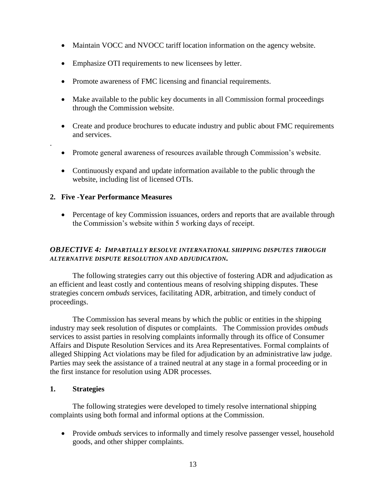- Maintain VOCC and NVOCC tariff location information on the agency website.
- Emphasize OTI requirements to new licensees by letter.
- Promote awareness of FMC licensing and financial requirements.
- Make available to the public key documents in all Commission formal proceedings through the Commission website.
- Create and produce brochures to educate industry and public about FMC requirements and services.
- Promote general awareness of resources available through Commission's website.
- Continuously expand and update information available to the public through the website, including list of licensed OTIs.

## **2. Five -Year Performance Measures**

.

• Percentage of key Commission issuances, orders and reports that are available through the Commission's website within 5 working days of receipt.

## <span id="page-12-0"></span>*OBJECTIVE 4: IMPARTIALLY RESOLVE INTERNATIONAL SHIPPING DISPUTES THROUGH ALTERNATIVE DISPUTE RESOLUTION AND ADJUDICATION.*

The following strategies carry out this objective of fostering ADR and adjudication as an efficient and least costly and contentious means of resolving shipping disputes. These strategies concern *ombuds* services, facilitating ADR, arbitration, and timely conduct of proceedings.

The Commission has several means by which the public or entities in the shipping industry may seek resolution of disputes or complaints. The Commission provides *ombuds* services to assist parties in resolving complaints informally through its office of Consumer Affairs and Dispute Resolution Services and its Area Representatives. Formal complaints of alleged Shipping Act violations may be filed for adjudication by an administrative law judge. Parties may seek the assistance of a trained neutral at any stage in a formal proceeding or in the first instance for resolution using ADR processes.

## **1. Strategies**

The following strategies were developed to timely resolve international shipping complaints using both formal and informal options at the Commission.

• Provide *ombuds* services to informally and timely resolve passenger vessel, household goods, and other shipper complaints.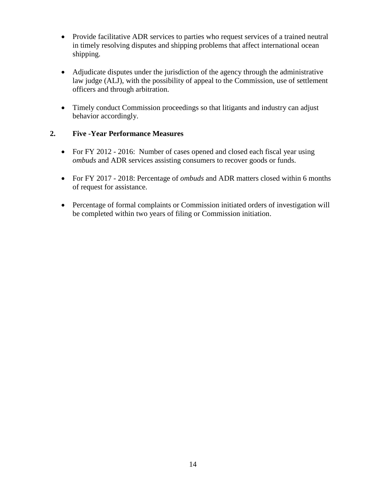- Provide facilitative ADR services to parties who request services of a trained neutral in timely resolving disputes and shipping problems that affect international ocean shipping.
- Adjudicate disputes under the jurisdiction of the agency through the administrative law judge (ALJ), with the possibility of appeal to the Commission, use of settlement officers and through arbitration.
- Timely conduct Commission proceedings so that litigants and industry can adjust behavior accordingly.

## **2. Five -Year Performance Measures**

- For FY 2012 2016: Number of cases opened and closed each fiscal year using *ombuds* and ADR services assisting consumers to recover goods or funds.
- For FY 2017 2018: Percentage of *ombuds* and ADR matters closed within 6 months of request for assistance.
- Percentage of formal complaints or Commission initiated orders of investigation will be completed within two years of filing or Commission initiation.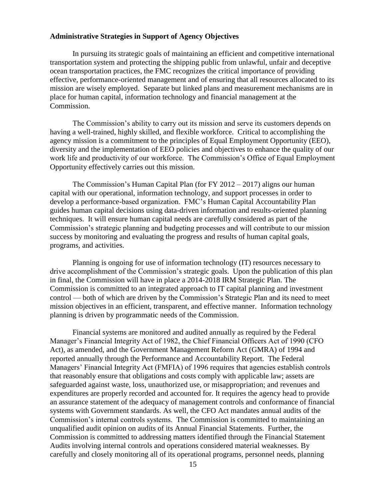#### <span id="page-14-0"></span>**Administrative Strategies in Support of Agency Objectives**

In pursuing its strategic goals of maintaining an efficient and competitive international transportation system and protecting the shipping public from unlawful, unfair and deceptive ocean transportation practices, the FMC recognizes the critical importance of providing effective, performance-oriented management and of ensuring that all resources allocated to its mission are wisely employed. Separate but linked plans and measurement mechanisms are in place for human capital, information technology and financial management at the Commission.

The Commission's ability to carry out its mission and serve its customers depends on having a well-trained, highly skilled, and flexible workforce. Critical to accomplishing the agency mission is a commitment to the principles of Equal Employment Opportunity (EEO), diversity and the implementation of EEO policies and objectives to enhance the quality of our work life and productivity of our workforce. The Commission's Office of Equal Employment Opportunity effectively carries out this mission.

The Commission's Human Capital Plan (for FY 2012 – 2017) aligns our human capital with our operational, information technology, and support processes in order to develop a performance-based organization. FMC's Human Capital Accountability Plan guides human capital decisions using data-driven information and results-oriented planning techniques. It will ensure human capital needs are carefully considered as part of the Commission's strategic planning and budgeting processes and will contribute to our mission success by monitoring and evaluating the progress and results of human capital goals, programs, and activities.

Planning is ongoing for use of information technology (IT) resources necessary to drive accomplishment of the Commission's strategic goals. Upon the publication of this plan in final, the Commission will have in place a 2014-2018 IRM Strategic Plan. The Commission is committed to an integrated approach to IT capital planning and investment control — both of which are driven by the Commission's Strategic Plan and its need to meet mission objectives in an efficient, transparent, and effective manner. Information technology planning is driven by programmatic needs of the Commission.

Financial systems are monitored and audited annually as required by the Federal Manager's Financial Integrity Act of 1982, the Chief Financial Officers Act of 1990 (CFO Act), as amended, and the Government Management Reform Act (GMRA) of 1994 and reported annually through the Performance and Accountability Report. The Federal Managers' Financial Integrity Act (FMFIA) of 1996 requires that agencies establish controls that reasonably ensure that obligations and costs comply with applicable law; assets are safeguarded against waste, loss, unauthorized use, or misappropriation; and revenues and expenditures are properly recorded and accounted for. It requires the agency head to provide an assurance statement of the adequacy of management controls and conformance of financial systems with Government standards. As well, the CFO Act mandates annual audits of the Commission's internal controls systems. The Commission is committed to maintaining an unqualified audit opinion on audits of its Annual Financial Statements. Further, the Commission is committed to addressing matters identified through the Financial Statement Audits involving internal controls and operations considered material weaknesses. By carefully and closely monitoring all of its operational programs, personnel needs, planning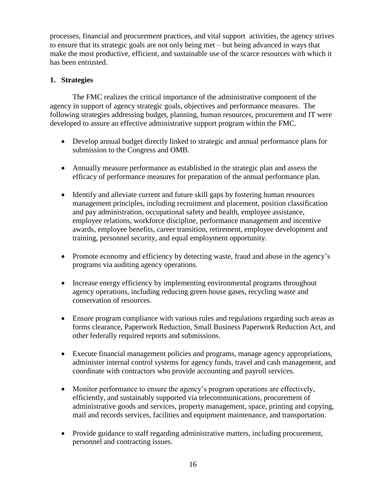processes, financial and procurement practices, and vital support activities, the agency strives to ensure that its strategic goals are not only being met – but being advanced in ways that make the most productive, efficient, and sustainable use of the scarce resources with which it has been entrusted.

## **1. Strategies**

The FMC realizes the critical importance of the administrative component of the agency in support of agency strategic goals, objectives and performance measures. The following strategies addressing budget, planning, human resources, procurement and IT were developed to assure an effective administrative support program within the FMC.

- Develop annual budget directly linked to strategic and annual performance plans for submission to the Congress and OMB.
- Annually measure performance as established in the strategic plan and assess the efficacy of performance measures for preparation of the annual performance plan.
- Identify and alleviate current and future skill gaps by fostering human resources management principles, including recruitment and placement, position classification and pay administration, occupational safety and health, employee assistance, employee relations, workforce discipline, performance management and incentive awards, employee benefits, career transition, retirement, employee development and training, personnel security, and equal employment opportunity.
- Promote economy and efficiency by detecting waste, fraud and abuse in the agency's programs via auditing agency operations.
- Increase energy efficiency by implementing environmental programs throughout agency operations, including reducing green house gases, recycling waste and conservation of resources.
- Ensure program compliance with various rules and regulations regarding such areas as forms clearance, Paperwork Reduction, Small Business Paperwork Reduction Act, and other federally required reports and submissions.
- Execute financial management policies and programs, manage agency appropriations, administer internal control systems for agency funds, travel and cash management, and coordinate with contractors who provide accounting and payroll services.
- Monitor performance to ensure the agency's program operations are effectively, efficiently, and sustainably supported via telecommunications, procurement of administrative goods and services, property management, space, printing and copying, mail and records services, facilities and equipment maintenance, and transportation.
- Provide guidance to staff regarding administrative matters, including procurement, personnel and contracting issues.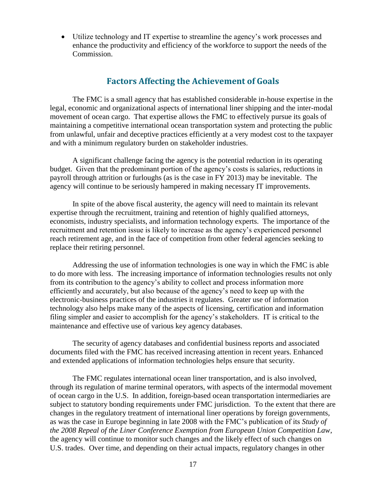Utilize technology and IT expertise to streamline the agency's work processes and enhance the productivity and efficiency of the workforce to support the needs of the Commission.

## **Factors Affecting the Achievement of Goals**

<span id="page-16-0"></span>The FMC is a small agency that has established considerable in-house expertise in the legal, economic and organizational aspects of international liner shipping and the inter-modal movement of ocean cargo. That expertise allows the FMC to effectively pursue its goals of maintaining a competitive international ocean transportation system and protecting the public from unlawful, unfair and deceptive practices efficiently at a very modest cost to the taxpayer and with a minimum regulatory burden on stakeholder industries.

A significant challenge facing the agency is the potential reduction in its operating budget. Given that the predominant portion of the agency's costs is salaries, reductions in payroll through attrition or furloughs (as is the case in FY 2013) may be inevitable. The agency will continue to be seriously hampered in making necessary IT improvements.

In spite of the above fiscal austerity, the agency will need to maintain its relevant expertise through the recruitment, training and retention of highly qualified attorneys, economists, industry specialists, and information technology experts. The importance of the recruitment and retention issue is likely to increase as the agency's experienced personnel reach retirement age, and in the face of competition from other federal agencies seeking to replace their retiring personnel.

Addressing the use of information technologies is one way in which the FMC is able to do more with less. The increasing importance of information technologies results not only from its contribution to the agency's ability to collect and process information more efficiently and accurately, but also because of the agency's need to keep up with the electronic-business practices of the industries it regulates. Greater use of information technology also helps make many of the aspects of licensing, certification and information filing simpler and easier to accomplish for the agency's stakeholders. IT is critical to the maintenance and effective use of various key agency databases.

The security of agency databases and confidential business reports and associated documents filed with the FMC has received increasing attention in recent years. Enhanced and extended applications of information technologies helps ensure that security.

The FMC regulates international ocean liner transportation, and is also involved, through its regulation of marine terminal operators, with aspects of the intermodal movement of ocean cargo in the U.S. In addition, foreign-based ocean transportation intermediaries are subject to statutory bonding requirements under FMC jurisdiction. To the extent that there are changes in the regulatory treatment of international liner operations by foreign governments, as was the case in Europe beginning in late 2008 with the FMC's publication of its *Study of the 2008 Repeal of the Liner Conference Exemption from European Union Competition Law*, the agency will continue to monitor such changes and the likely effect of such changes on U.S. trades. Over time, and depending on their actual impacts, regulatory changes in other